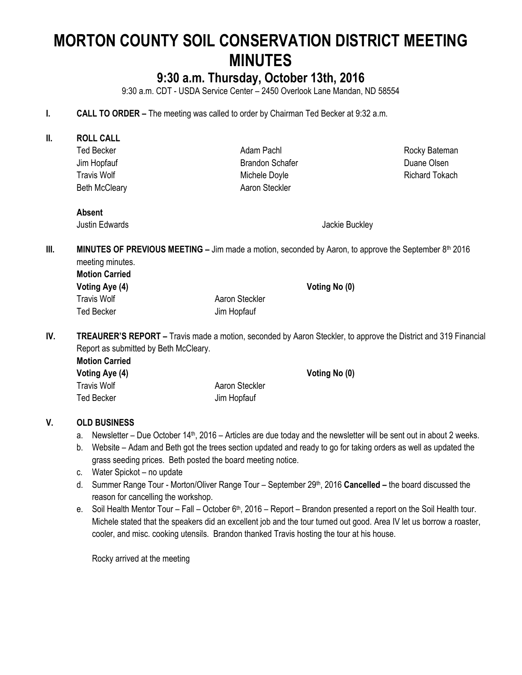# **MORTON COUNTY SOIL CONSERVATION DISTRICT MEETING MINUTES**

# **9:30 a.m. Thursday, October 13th, 2016**

9:30 a.m. CDT - USDA Service Center – 2450 Overlook Lane Mandan, ND 58554

- **I. CALL TO ORDER –** The meeting was called to order by Chairman Ted Becker at 9:32 a.m.
- **II. ROLL CALL** Ted Becker Jim Hopfauf Travis Wolf Beth McCleary Adam Pachl Brandon Schafer Michele Doyle Aaron Steckler Rocky Bateman Duane Olsen Richard Tokach **Absent** Justin Edwards Jackie Buckley **III. MINUTES OF PREVIOUS MEETING** – Jim made a motion, seconded by Aaron, to approve the September 8<sup>th</sup> 2016 meeting minutes. **Motion Carried Voting Aye (4) Voting No (0)** Travis Wolf **Aaron** Steckler Ted Becker **Jim Hopfauf IV. TREAURER'S REPORT –** Travis made a motion, seconded by Aaron Steckler, to approve the District and 319 Financial Report as submitted by Beth McCleary. **Motion Carried Voting Aye (4) Voting No (0)** Travis Wolf **Aaron** Steckler Ted Becker **Jim Hopfauf**

# **V. OLD BUSINESS**

- a. Newsletter Due October 14<sup>th</sup>, 2016 Articles are due today and the newsletter will be sent out in about 2 weeks.
- b. Website Adam and Beth got the trees section updated and ready to go for taking orders as well as updated the grass seeding prices. Beth posted the board meeting notice.
- c. Water Spickot no update
- d. Summer Range Tour Morton/Oliver Range Tour September 29th, 2016 **Cancelled –** the board discussed the reason for cancelling the workshop.
- e. Soil Health Mentor Tour Fall October 6<sup>th</sup>, 2016 Report Brandon presented a report on the Soil Health tour. Michele stated that the speakers did an excellent job and the tour turned out good. Area IV let us borrow a roaster, cooler, and misc. cooking utensils. Brandon thanked Travis hosting the tour at his house.

Rocky arrived at the meeting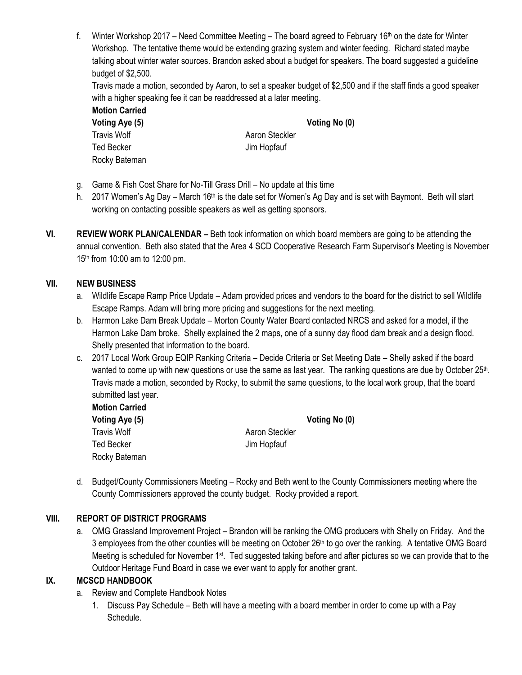f. Winter Workshop 2017 – Need Committee Meeting – The board agreed to February 16<sup>th</sup> on the date for Winter Workshop. The tentative theme would be extending grazing system and winter feeding. Richard stated maybe talking about winter water sources. Brandon asked about a budget for speakers. The board suggested a guideline budget of \$2,500.

Travis made a motion, seconded by Aaron, to set a speaker budget of \$2,500 and if the staff finds a good speaker with a higher speaking fee it can be readdressed at a later meeting.

**Motion Carried Voting Aye (5) Voting No (0)** Travis Wolf **Aaron** Steckler Ted Becker Jim Hopfauf Rocky Bateman

- g. Game & Fish Cost Share for No-Till Grass Drill No update at this time
- h. 2017 Women's Ag Day March 16<sup>th</sup> is the date set for Women's Ag Day and is set with Baymont. Beth will start working on contacting possible speakers as well as getting sponsors.
- **VI. REVIEW WORK PLAN/CALENDAR –** Beth took information on which board members are going to be attending the annual convention. Beth also stated that the Area 4 SCD Cooperative Research Farm Supervisor's Meeting is November 15<sup>th</sup> from 10:00 am to 12:00 pm.

#### **VII. NEW BUSINESS**

- a. Wildlife Escape Ramp Price Update Adam provided prices and vendors to the board for the district to sell Wildlife Escape Ramps. Adam will bring more pricing and suggestions for the next meeting.
- b. Harmon Lake Dam Break Update Morton County Water Board contacted NRCS and asked for a model, if the Harmon Lake Dam broke. Shelly explained the 2 maps, one of a sunny day flood dam break and a design flood. Shelly presented that information to the board.
- c. 2017 Local Work Group EQIP Ranking Criteria Decide Criteria or Set Meeting Date Shelly asked if the board wanted to come up with new questions or use the same as last year. The ranking questions are due by October 25<sup>th</sup>. Travis made a motion, seconded by Rocky, to submit the same questions, to the local work group, that the board submitted last year.

| <b>Motion Carried</b> |
|-----------------------|
| Voting Aye (5)        |
| <b>Travis Wolf</b>    |
| Ted Becker            |
| Rocky Bateman         |

**Voting Aye (5) Voting No (0)** Aaron Steckler Jim Hopfauf

d. Budget/County Commissioners Meeting – Rocky and Beth went to the County Commissioners meeting where the County Commissioners approved the county budget. Rocky provided a report.

#### **VIII. REPORT OF DISTRICT PROGRAMS**

a. OMG Grassland Improvement Project – Brandon will be ranking the OMG producers with Shelly on Friday. And the 3 employees from the other counties will be meeting on October 26<sup>th</sup> to go over the ranking. A tentative OMG Board Meeting is scheduled for November 1<sup>st</sup>. Ted suggested taking before and after pictures so we can provide that to the Outdoor Heritage Fund Board in case we ever want to apply for another grant.

## **IX. MCSCD HANDBOOK**

- a. Review and Complete Handbook Notes
	- 1. Discuss Pay Schedule Beth will have a meeting with a board member in order to come up with a Pay Schedule.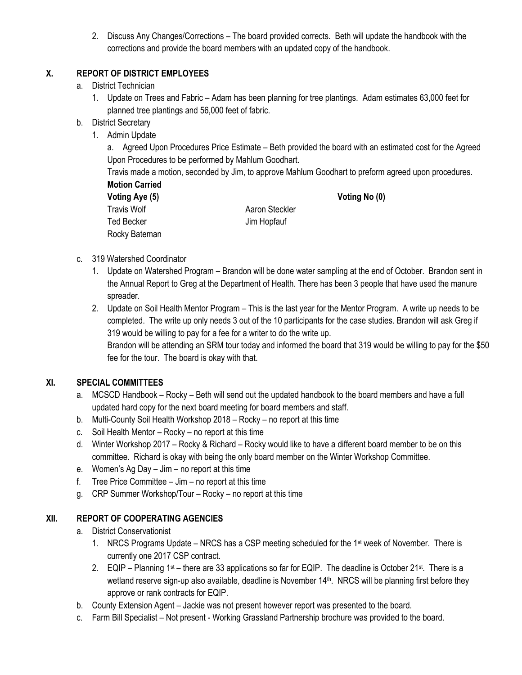2. Discuss Any Changes/Corrections – The board provided corrects. Beth will update the handbook with the corrections and provide the board members with an updated copy of the handbook.

# **X. REPORT OF DISTRICT EMPLOYEES**

- a. District Technician
	- 1. Update on Trees and Fabric Adam has been planning for tree plantings. Adam estimates 63,000 feet for planned tree plantings and 56,000 feet of fabric.
- b. District Secretary
	- 1. Admin Update

a. Agreed Upon Procedures Price Estimate – Beth provided the board with an estimated cost for the Agreed Upon Procedures to be performed by Mahlum Goodhart.

Travis made a motion, seconded by Jim, to approve Mahlum Goodhart to preform agreed upon procedures. **Motion Carried**

**Voting Aye (5) Voting No (0)** Travis Wolf **Aaron** Steckler Ted Becker Jim Hopfauf Rocky Bateman

- c. 319 Watershed Coordinator
	- 1. Update on Watershed Program Brandon will be done water sampling at the end of October. Brandon sent in the Annual Report to Greg at the Department of Health. There has been 3 people that have used the manure spreader.
	- 2. Update on Soil Health Mentor Program This is the last year for the Mentor Program. A write up needs to be completed. The write up only needs 3 out of the 10 participants for the case studies. Brandon will ask Greg if 319 would be willing to pay for a fee for a writer to do the write up.

Brandon will be attending an SRM tour today and informed the board that 319 would be willing to pay for the \$50 fee for the tour. The board is okay with that.

## **XI. SPECIAL COMMITTEES**

- a. MCSCD Handbook Rocky Beth will send out the updated handbook to the board members and have a full updated hard copy for the next board meeting for board members and staff.
- b. Multi-County Soil Health Workshop 2018 Rocky no report at this time
- c. Soil Health Mentor Rocky no report at this time
- d. Winter Workshop 2017 Rocky & Richard Rocky would like to have a different board member to be on this committee. Richard is okay with being the only board member on the Winter Workshop Committee.
- e. Women's Ag Day Jim no report at this time
- f. Tree Price Committee Jim no report at this time
- g. CRP Summer Workshop/Tour Rocky no report at this time

# **XII. REPORT OF COOPERATING AGENCIES**

- a. District Conservationist
	- 1. NRCS Programs Update NRCS has a CSP meeting scheduled for the 1<sup>st</sup> week of November. There is currently one 2017 CSP contract.
	- 2. EQIP Planning 1<sup>st</sup> there are 33 applications so far for EQIP. The deadline is October 21<sup>st</sup>. There is a wetland reserve sign-up also available, deadline is November 14<sup>th</sup>. NRCS will be planning first before they approve or rank contracts for EQIP.
- b. County Extension Agent Jackie was not present however report was presented to the board.
- c. Farm Bill Specialist Not present Working Grassland Partnership brochure was provided to the board.